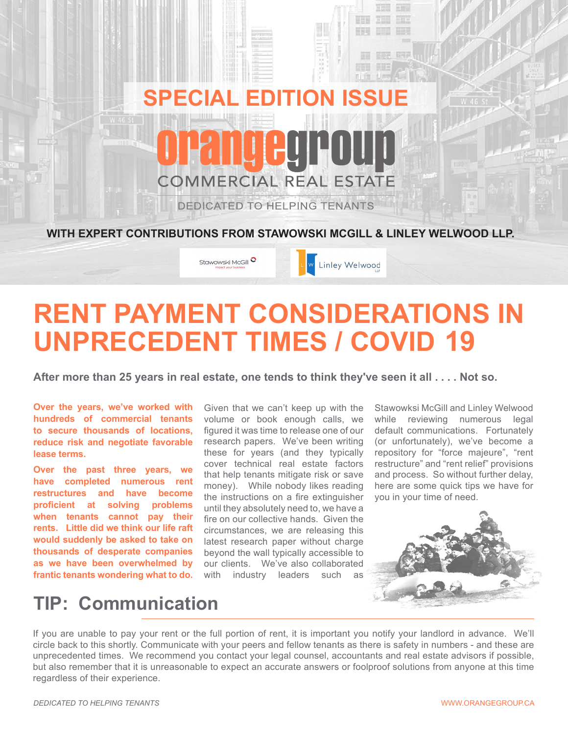

# **RENT PAYMENT CONSIDERATIONS IN UNPRECEDENT TIMES / COVID 19**

**After more than 25 years in real estate, one tends to think they've seen it all . . . . Not so.**

**Over the years, we've worked with hundreds of commercial tenants to secure thousands of locations, reduce risk and negotiate favorable lease terms.**

**Over the past three years, we have completed numerous rent restructures and have become proficient at solving problems when tenants cannot pay their rents. Little did we think our life raft would suddenly be asked to take on thousands of desperate companies as we have been overwhelmed by frantic tenants wondering what to do.** 

Given that we can't keep up with the volume or book enough calls, we figured it was time to release one of our research papers. We've been writing these for years (and they typically cover technical real estate factors that help tenants mitigate risk or save money). While nobody likes reading the instructions on a fire extinguisher until they absolutely need to, we have a fire on our collective hands. Given the circumstances, we are releasing this latest research paper without charge beyond the wall typically accessible to our clients. We've also collaborated with industry leaders such as

Stawowksi McGill and Linley Welwood while reviewing numerous legal default communications. Fortunately (or unfortunately), we've become a repository for "force majeure", "rent restructure" and "rent relief" provisions and process. So without further delay, here are some quick tips we have for you in your time of need.



## **TIP: Communication**

If you are unable to pay your rent or the full portion of rent, it is important you notify your landlord in advance. We'll circle back to this shortly. Communicate with your peers and fellow tenants as there is safety in numbers - and these are unprecedented times. We recommend you contact your legal counsel, accountants and real estate advisors if possible, but also remember that it is unreasonable to expect an accurate answers or foolproof solutions from anyone at this time regardless of their experience.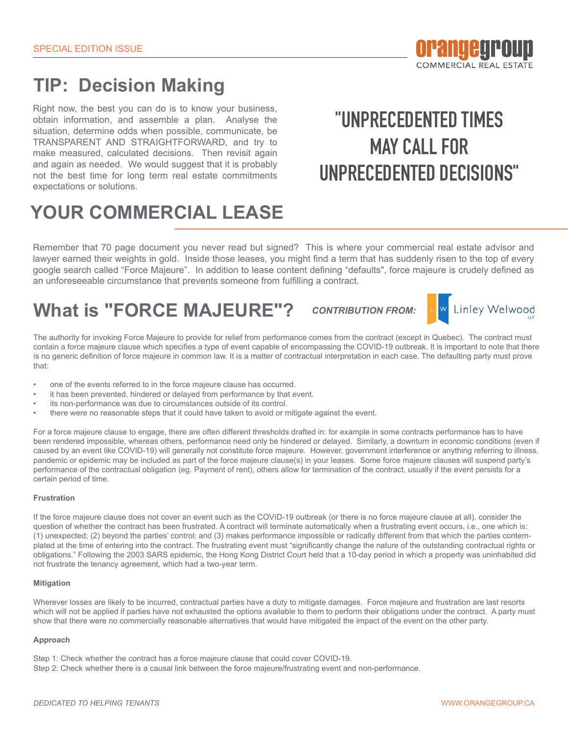

## **TIP: Decision Making**

Right now, the best you can do is to know your business, obtain information, and assemble a plan. Analyse the situation, determine odds when possible, communicate, be TRANSPARENT AND STRAIGHTFORWARD, and try to make measured, calculated decisions. Then revisit again and again as needed. We would suggest that it is probably not the best time for long term real estate commitments expectations or solutions.

# **"UNPRECEDENTED TIMES MAY CALL FOR UNPRECEDENTED DECISIONS"**

# **YOUR COMMERCIAL LEASE**

Remember that 70 page document you never read but signed? This is where your commercial real estate advisor and lawyer earned their weights in gold. Inside those leases, you might find a term that has suddenly risen to the top of every google search called "Force Majeure". In addition to lease content defining "defaults", force majeure is crudely defined as an unforeseeable circumstance that prevents someone from fulfilling a contract.

## **What is "FORCE MAJEURE"?**

*CONTRIBUTION FROM:*



The authority for invoking Force Majeure to provide for relief from performance comes from the contract (except in Quebec). The contract must contain a force majeure clause which specifies a type of event capable of encompassing the COVID-19 outbreak. It is important to note that there is no generic definition of force majeure in common law. It is a matter of contractual interpretation in each case. The defaulting party must prove that:

- one of the events referred to in the force majeure clause has occurred.
- it has been prevented, hindered or delayed from performance by that event.
- its non-performance was due to circumstances outside of its control.
- there were no reasonable steps that it could have taken to avoid or mitigate against the event.

For a force majeure clause to engage, there are often different thresholds drafted in: for example in some contracts performance has to have been rendered impossible, whereas others, performance need only be hindered or delayed. Similarly, a downturn in economic conditions (even if caused by an event like COVID-19) will generally not constitute force majeure. However, government interference or anything referring to illness, pandemic or epidemic may be included as part of the force majeure clause(s) in your leases. Some force majeure clauses will suspend party's performance of the contractual obligation (eg. Payment of rent), others allow for termination of the contract, usually if the event persists for a certain period of time.

#### **Frustration**

If the force majeure clause does not cover an event such as the COVID-19 outbreak (or there is no force majeure clause at all), consider the question of whether the contract has been frustrated. A contract will terminate automatically when a frustrating event occurs, i.e., one which is: (1) unexpected; (2) beyond the parties' control; and (3) makes performance impossible or radically different from that which the parties contemplated at the time of entering into the contract. The frustrating event must "significantly change the nature of the outstanding contractual rights or obligations." Following the 2003 SARS epidemic, the Hong Kong District Court held that a 10-day period in which a property was uninhabited did not frustrate the tenancy agreement, which had a two-year term.

#### **Mitigation**

Wherever losses are likely to be incurred, contractual parties have a duty to mitigate damages. Force majeure and frustration are last resorts which will not be applied if parties have not exhausted the options available to them to perform their obligations under the contract. A party must show that there were no commercially reasonable alternatives that would have mitigated the impact of the event on the other party.

#### **Approach**

Step 1: Check whether the contract has a force majeure clause that could cover COVID-19.

Step 2: Check whether there is a causal link between the force majeure/frustrating event and non-performance.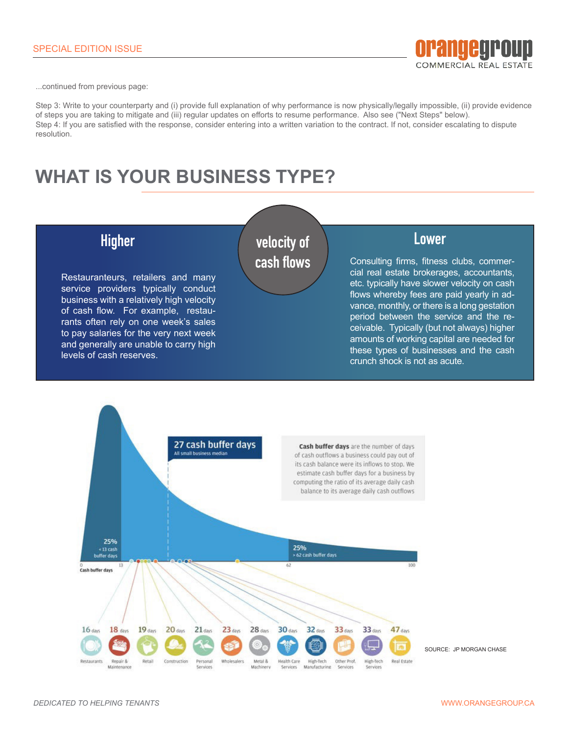

...continued from previous page:

Step 3: Write to your counterparty and (i) provide full explanation of why performance is now physically/legally impossible, (ii) provide evidence of steps you are taking to mitigate and (iii) regular updates on efforts to resume performance. Also see ("Next Steps" below). Step 4: If you are satisfied with the response, consider entering into a written variation to the contract. If not, consider escalating to dispute resolution.

## **WHAT IS YOUR BUSINESS TYPE?**



Restauranteurs, retailers and many service providers typically conduct business with a relatively high velocity of cash flow. For example, restaurants often rely on one week's sales to pay salaries for the very next week and generally are unable to carry high levels of cash reserves.

### **velocity of Higher Lower cash flows**

Consulting firms, fitness clubs, commercial real estate brokerages, accountants, etc. typically have slower velocity on cash flows whereby fees are paid yearly in advance, monthly, or there is a long gestation period between the service and the receivable. Typically (but not always) higher amounts of working capital are needed for these types of businesses and the cash crunch shock is not as acute.

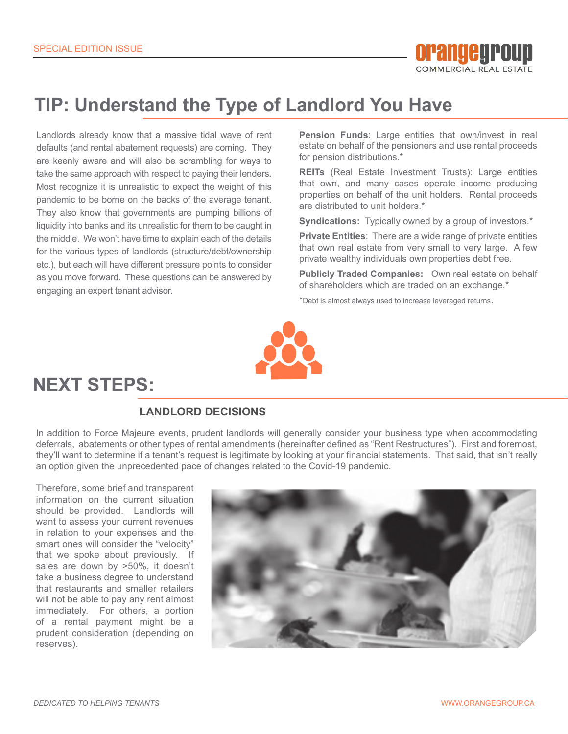

## **TIP: Understand the Type of Landlord You Have**

Landlords already know that a massive tidal wave of rent defaults (and rental abatement requests) are coming. They are keenly aware and will also be scrambling for ways to take the same approach with respect to paying their lenders. Most recognize it is unrealistic to expect the weight of this pandemic to be borne on the backs of the average tenant. They also know that governments are pumping billions of liquidity into banks and its unrealistic for them to be caught in the middle. We won't have time to explain each of the details for the various types of landlords (structure/debt/ownership etc.), but each will have different pressure points to consider as you move forward. These questions can be answered by engaging an expert tenant advisor.

**Pension Funds**: Large entities that own/invest in real estate on behalf of the pensioners and use rental proceeds for pension distributions.\*

**REITs** (Real Estate Investment Trusts): Large entities that own, and many cases operate income producing properties on behalf of the unit holders. Rental proceeds are distributed to unit holders.\*

**Syndications:** Typically owned by a group of investors.\*

**Private Entities**: There are a wide range of private entities that own real estate from very small to very large. A few private wealthy individuals own properties debt free.

**Publicly Traded Companies:** Own real estate on behalf of shareholders which are traded on an exchange.\*

\*Debt is almost always used to increase leveraged returns.



## **NEXT STEPS:**

#### **LANDLORD DECISIONS**

In addition to Force Majeure events, prudent landlords will generally consider your business type when accommodating deferrals, abatements or other types of rental amendments (hereinafter defined as "Rent Restructures"). First and foremost, they'll want to determine if a tenant's request is legitimate by looking at your financial statements. That said, that isn't really an option given the unprecedented pace of changes related to the Covid-19 pandemic.

Therefore, some brief and transparent information on the current situation should be provided. Landlords will want to assess your current revenues in relation to your expenses and the smart ones will consider the "velocity" that we spoke about previously. If sales are down by >50%, it doesn't take a business degree to understand that restaurants and smaller retailers will not be able to pay any rent almost immediately. For others, a portion of a rental payment might be a prudent consideration (depending on reserves).